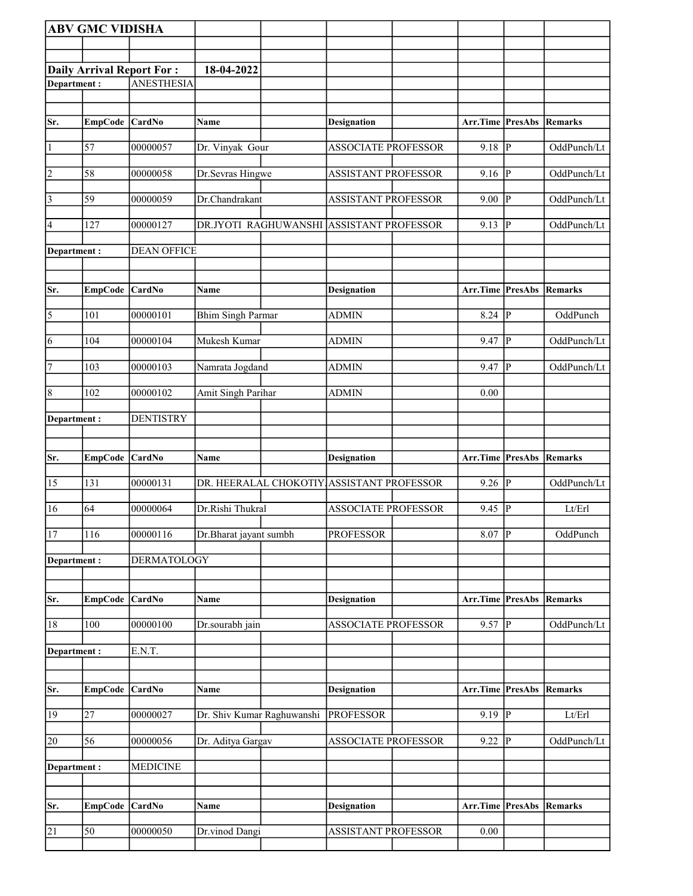|                | <b>ABV GMC VIDISHA</b> |                                  |                            |                                           |                                 |                    |             |
|----------------|------------------------|----------------------------------|----------------------------|-------------------------------------------|---------------------------------|--------------------|-------------|
|                |                        |                                  |                            |                                           |                                 |                    |             |
|                |                        | <b>Daily Arrival Report For:</b> | 18-04-2022                 |                                           |                                 |                    |             |
| Department:    |                        | <b>ANESTHESIA</b>                |                            |                                           |                                 |                    |             |
|                |                        |                                  |                            |                                           |                                 |                    |             |
|                |                        |                                  |                            |                                           |                                 |                    |             |
| Sr.            | EmpCode CardNo         |                                  | Name                       | <b>Designation</b>                        | <b>Arr.Time PresAbs Remarks</b> |                    |             |
| $\vert$ 1      | 57                     | 00000057                         | Dr. Vinyak Gour            | <b>ASSOCIATE PROFESSOR</b>                | 9.18                            | P                  | OddPunch/Lt |
| $\overline{2}$ | 58                     | 00000058                         | Dr.Sevras Hingwe           | <b>ASSISTANT PROFESSOR</b>                | 9.16                            | P                  | OddPunch/Lt |
| $\vert$ 3      | 59                     | 00000059                         | Dr.Chandrakant             | <b>ASSISTANT PROFESSOR</b>                | 9.00                            | P                  | OddPunch/Lt |
| 4              | 127                    | 00000127                         | DR.JYOTI RAGHUWANSHI       | <b>ASSISTANT PROFESSOR</b>                | 9.13                            | $\mathbf P$        | OddPunch/Lt |
| Department :   |                        | <b>DEAN OFFICE</b>               |                            |                                           |                                 |                    |             |
|                |                        |                                  |                            |                                           |                                 |                    |             |
| Sr.            | EmpCode CardNo         |                                  | Name                       | <b>Designation</b>                        | <b>Arr.Time PresAbs Remarks</b> |                    |             |
| $\sqrt{5}$     | 101                    | 00000101                         | <b>Bhim Singh Parmar</b>   | <b>ADMIN</b>                              | $8.24$ P                        |                    | OddPunch    |
| 6              | $\overline{104}$       | 00000104                         | Mukesh Kumar               | <b>ADMIN</b>                              | 9.47                            | ∣P                 | OddPunch/Lt |
| $\overline{7}$ | 103                    | 00000103                         | Namrata Jogdand            | <b>ADMIN</b>                              | 9.47                            | $\vert$ P          | OddPunch/Lt |
| 8              | 102                    | 00000102                         | Amit Singh Parihar         | <b>ADMIN</b>                              | 0.00                            |                    |             |
| Department:    |                        | <b>DENTISTRY</b>                 |                            |                                           |                                 |                    |             |
|                |                        |                                  |                            |                                           |                                 |                    |             |
|                |                        |                                  |                            |                                           |                                 |                    |             |
| Sr.            | EmpCode                | CardNo                           | Name                       | <b>Designation</b>                        | Arr.Time                        | PresAbs            | Remarks     |
| 15             | $\overline{1}31$       | 00000131                         |                            | DR. HEERALAL CHOKOTIY ASSISTANT PROFESSOR | 9.26                            | $\vert \mathrm{P}$ | OddPunch/Lt |
| 16             | 64                     |                                  |                            |                                           |                                 |                    |             |
|                |                        | 00000064                         | Dr.Rishi Thukral           | <b>ASSOCIATE PROFESSOR</b>                | 9.45                            | ∣P                 | Lt/Erl      |
| 17             | 116                    | 00000116                         | Dr.Bharat jayant sumbh     | <b>PROFESSOR</b>                          | $8.07$ P                        |                    | OddPunch    |
| Department:    |                        | <b>DERMATOLOGY</b>               |                            |                                           |                                 |                    |             |
|                |                        | <b>CardNo</b>                    | Name                       |                                           |                                 |                    | Remarks     |
| Sr.            | <b>EmpCode</b>         |                                  |                            | <b>Designation</b>                        | Arr.Time                        | PresAbs            |             |
| 18             | $\overline{1}00$       | 00000100                         | Dr.sourabh jain            | <b>ASSOCIATE PROFESSOR</b>                | 9.57                            | $\overline{P}$     | OddPunch/Lt |
| Department:    |                        | E.N.T.                           |                            |                                           |                                 |                    |             |
|                |                        |                                  |                            |                                           |                                 |                    |             |
| Sr.            | EmpCode CardNo         |                                  | Name                       | <b>Designation</b>                        | Arr.Time PresAbs Remarks        |                    |             |
| 19             | 27                     | 00000027                         | Dr. Shiv Kumar Raghuwanshi | <b>PROFESSOR</b>                          | $9.19$ P                        |                    | Lt/Erl      |
| 20             | 56                     | 00000056                         | Dr. Aditya Gargav          | ASSOCIATE PROFESSOR                       | 9.22                            | p                  | OddPunch/Lt |
| Department:    |                        | <b>MEDICINE</b>                  |                            |                                           |                                 |                    |             |
|                |                        |                                  |                            |                                           |                                 |                    |             |
| Sr.            | EmpCode CardNo         |                                  | Name                       | <b>Designation</b>                        | Arr.Time PresAbs                |                    | Remarks     |
| 21             | 50                     | 00000050                         | Dr.vinod Dangi             | <b>ASSISTANT PROFESSOR</b>                | 0.00                            |                    |             |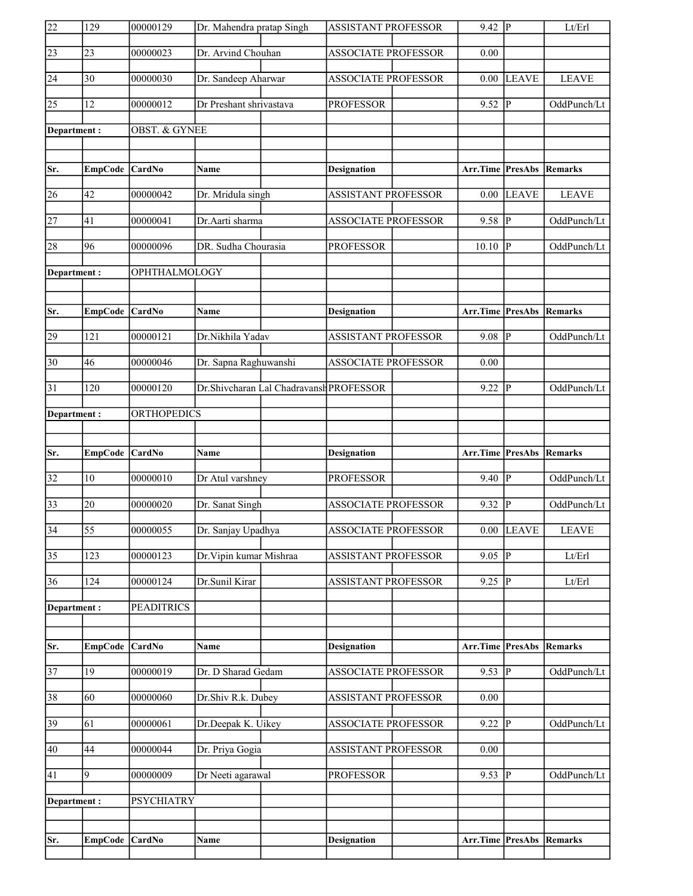| $\overline{22}$ | 129             | 00000129           | Dr. Mahendra pratap Singh |                                         | <b>ASSISTANT PROFESSOR</b> | $9.42 \overline{P}$             |                        | Lt/Erl       |
|-----------------|-----------------|--------------------|---------------------------|-----------------------------------------|----------------------------|---------------------------------|------------------------|--------------|
| $\sqrt{23}$     | 23              | 00000023           | Dr. Arvind Chouhan        |                                         | <b>ASSOCIATE PROFESSOR</b> | 0.00                            |                        |              |
| 24              | 30              | 00000030           | Dr. Sandeep Aharwar       |                                         | <b>ASSOCIATE PROFESSOR</b> | 0.00                            | <b>LEAVE</b>           | <b>LEAVE</b> |
| 25              | 12              | 00000012           | Dr Preshant shrivastava   |                                         | <b>PROFESSOR</b>           | 9.52                            | P                      | OddPunch/Lt  |
| Department:     |                 | OBST. & GYNEE      |                           |                                         |                            |                                 |                        |              |
|                 |                 |                    |                           |                                         |                            |                                 |                        |              |
| Sr.             | EmpCode CardNo  |                    | Name                      |                                         | <b>Designation</b>         | Arr.Time PresAbs                |                        | Remarks      |
| 26              | 42              | 00000042           | Dr. Mridula singh         |                                         | <b>ASSISTANT PROFESSOR</b> | 0.00                            | <b>LEAVE</b>           | <b>LEAVE</b> |
| 27              | 41              | 00000041           | Dr.Aarti sharma           |                                         | <b>ASSOCIATE PROFESSOR</b> | 9.58                            | P                      | OddPunch/Lt  |
| 28              | 96              | 00000096           | DR. Sudha Chourasia       |                                         | <b>PROFESSOR</b>           | 10.10                           | P                      | OddPunch/Lt  |
| Department:     |                 | OPHTHALMOLOGY      |                           |                                         |                            |                                 |                        |              |
|                 |                 |                    |                           |                                         |                            |                                 |                        |              |
| Sr.             | EmpCode CardNo  |                    | Name                      |                                         | <b>Designation</b>         | Arr.Time PresAbs Remarks        |                        |              |
| 29              | 121             | 00000121           | Dr.Nikhila Yadav          |                                         | <b>ASSISTANT PROFESSOR</b> | 9.08                            | $\overline{P}$         | OddPunch/Lt  |
| $ 30\rangle$    | 46              | 00000046           | Dr. Sapna Raghuwanshi     |                                         | <b>ASSOCIATE PROFESSOR</b> | 0.00                            |                        |              |
| $\overline{31}$ | 120             | 00000120           |                           | Dr.Shivcharan Lal Chadravansh PROFESSOR |                            | 9.22                            | P                      | OddPunch/Lt  |
| Department:     |                 | <b>ORTHOPEDICS</b> |                           |                                         |                            |                                 |                        |              |
|                 |                 |                    |                           |                                         |                            |                                 |                        |              |
|                 |                 |                    |                           |                                         |                            |                                 |                        |              |
| Sr.             | EmpCode CardNo  |                    | Name                      |                                         | <b>Designation</b>         | Arr.Time                        | <b>PresAbs Remarks</b> |              |
| 32              | 10              | 00000010           | Dr Atul varshney          |                                         | <b>PROFESSOR</b>           | 9.40                            | P                      | OddPunch/Lt  |
| $\overline{33}$ | 20              | 00000020           | Dr. Sanat Singh           |                                         | <b>ASSOCIATE PROFESSOR</b> | 9.32                            | P                      | OddPunch/Lt  |
| $\overline{34}$ | $\overline{55}$ | 00000055           | Dr. Sanjay Upadhya        |                                         | ASSOCIATE PROFESSOR        |                                 | $0.00$ LEAVE           | <b>LEAVE</b> |
| $\overline{35}$ | 123             | 00000123           | Dr. Vipin kumar Mishraa   |                                         | <b>ASSISTANT PROFESSOR</b> | 9.05                            | lP.                    | Lt/Erl       |
| 36              | 124             | 00000124           | Dr.Sunil Kirar            |                                         | <b>ASSISTANT PROFESSOR</b> | 9.25                            | P                      | Lt/Erl       |
| Department:     |                 | <b>PEADITRICS</b>  |                           |                                         |                            |                                 |                        |              |
|                 |                 |                    |                           |                                         |                            |                                 |                        |              |
| Sr.             | <b>EmpCode</b>  | <b>CardNo</b>      | <b>Name</b>               |                                         | <b>Designation</b>         | <b>Arr.Time PresAbs Remarks</b> |                        |              |
| 37              | 19              | 00000019           | Dr. D Sharad Gedam        |                                         | <b>ASSOCIATE PROFESSOR</b> | 9.53 $  \overline{P}$           |                        | OddPunch/Lt  |
| 38              | 60              | 00000060           | Dr.Shiv R.k. Dubey        |                                         | ASSISTANT PROFESSOR        | 0.00                            |                        |              |
| 39              | 61              | 00000061           | Dr.Deepak K. Uikey        |                                         | ASSOCIATE PROFESSOR        | $9.22 \overline{P}$             |                        | OddPunch/Lt  |
| 40              | 44              | 00000044           | Dr. Priya Gogia           |                                         | ASSISTANT PROFESSOR        | 0.00                            |                        |              |
| 41              | $\overline{9}$  | 00000009           | Dr Neeti agarawal         |                                         | <b>PROFESSOR</b>           | 9.53   $\overline{P}$           |                        | OddPunch/Lt  |
| Department:     |                 | <b>PSYCHIATRY</b>  |                           |                                         |                            |                                 |                        |              |
|                 |                 |                    |                           |                                         |                            |                                 |                        |              |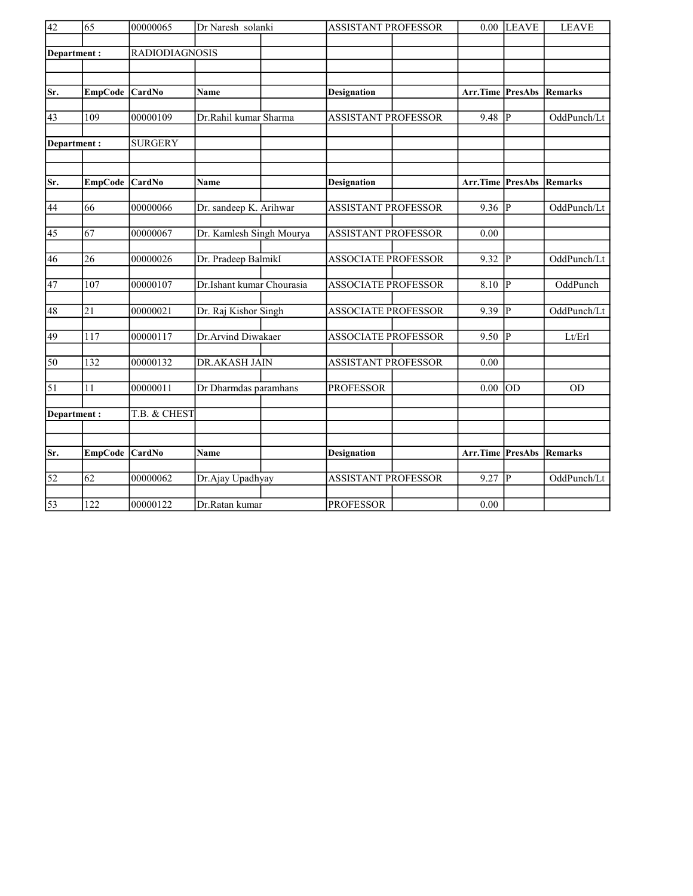| $\overline{42}$<br>65 |                 | 00000065              | Dr Naresh solanki         |  | <b>ASSISTANT PROFESSOR</b> |  | 0.00     | <b>LEAVE</b>   | <b>LEAVE</b> |
|-----------------------|-----------------|-----------------------|---------------------------|--|----------------------------|--|----------|----------------|--------------|
|                       |                 |                       |                           |  |                            |  |          |                |              |
|                       | Department:     | <b>RADIODIAGNOSIS</b> |                           |  |                            |  |          |                |              |
|                       |                 |                       |                           |  |                            |  |          |                |              |
|                       |                 |                       |                           |  |                            |  |          |                |              |
| Sr.                   | <b>EmpCode</b>  | CardNo                | Name                      |  | <b>Designation</b>         |  | Arr.Time | <b>PresAbs</b> | Remarks      |
|                       |                 |                       |                           |  |                            |  |          |                |              |
| 43                    | 109             | 00000109              | Dr.Rahil kumar Sharma     |  | <b>ASSISTANT PROFESSOR</b> |  | 9.48     | IР             | OddPunch/Lt  |
|                       |                 | <b>SURGERY</b>        |                           |  |                            |  |          |                |              |
|                       | Department:     |                       |                           |  |                            |  |          |                |              |
|                       |                 |                       |                           |  |                            |  |          |                |              |
| Sr.                   | <b>EmpCode</b>  | <b>CardNo</b>         | <b>Name</b>               |  | <b>Designation</b>         |  | Arr.Time | PresAbs        | Remarks      |
|                       |                 |                       |                           |  |                            |  |          |                |              |
| 44                    | 66              | 00000066              | Dr. sandeep K. Arihwar    |  | <b>ASSISTANT PROFESSOR</b> |  | 9.36     | IР             | OddPunch/Lt  |
| 45                    | 67              | 00000067              | Dr. Kamlesh Singh Mourya  |  | <b>ASSISTANT PROFESSOR</b> |  | 0.00     |                |              |
|                       |                 |                       |                           |  |                            |  |          |                |              |
| 46                    | 26              | 00000026              | Dr. Pradeep BalmikI       |  | <b>ASSOCIATE PROFESSOR</b> |  | 9.32     | P              | OddPunch/Lt  |
|                       |                 |                       |                           |  |                            |  |          |                |              |
| $\overline{47}$       | 107             | 00000107              | Dr.Ishant kumar Chourasia |  | <b>ASSOCIATE PROFESSOR</b> |  | 8.10     | P              | OddPunch     |
|                       |                 |                       |                           |  |                            |  |          |                |              |
| 48                    | 21              | 00000021              | Dr. Raj Kishor Singh      |  | <b>ASSOCIATE PROFESSOR</b> |  | 9.39     | P              | OddPunch/Lt  |
| 49                    | 117             | 00000117              | Dr.Arvind Diwakaer        |  | <b>ASSOCIATE PROFESSOR</b> |  | 9.50     | P              | Lt/Erl       |
|                       |                 |                       |                           |  |                            |  |          |                |              |
| $\overline{50}$       | 132             | 00000132              | <b>DR.AKASH JAIN</b>      |  | <b>ASSISTANT PROFESSOR</b> |  | 0.00     |                |              |
|                       |                 |                       |                           |  |                            |  |          |                |              |
| $\overline{51}$       | 11              | 00000011              | Dr Dharmdas paramhans     |  | <b>PROFESSOR</b>           |  | 0.00     | lod            | <b>OD</b>    |
|                       |                 |                       |                           |  |                            |  |          |                |              |
|                       | Department:     | T.B. & CHEST          |                           |  |                            |  |          |                |              |
|                       |                 |                       |                           |  |                            |  |          |                |              |
| Sr.                   | <b>EmpCode</b>  | <b>CardNo</b>         | <b>Name</b>               |  | <b>Designation</b>         |  | Arr.Time | PresAbs        | Remarks      |
|                       |                 |                       |                           |  |                            |  |          |                |              |
| $\overline{52}$       | $\overline{62}$ | 00000062              | Dr.Ajay Upadhyay          |  | <b>ASSISTANT PROFESSOR</b> |  | 9.27     | P              | OddPunch/Lt  |
|                       |                 |                       |                           |  |                            |  |          |                |              |
| $\overline{53}$       | 122             | 00000122              | Dr.Ratan kumar            |  | <b>PROFESSOR</b>           |  | 0.00     |                |              |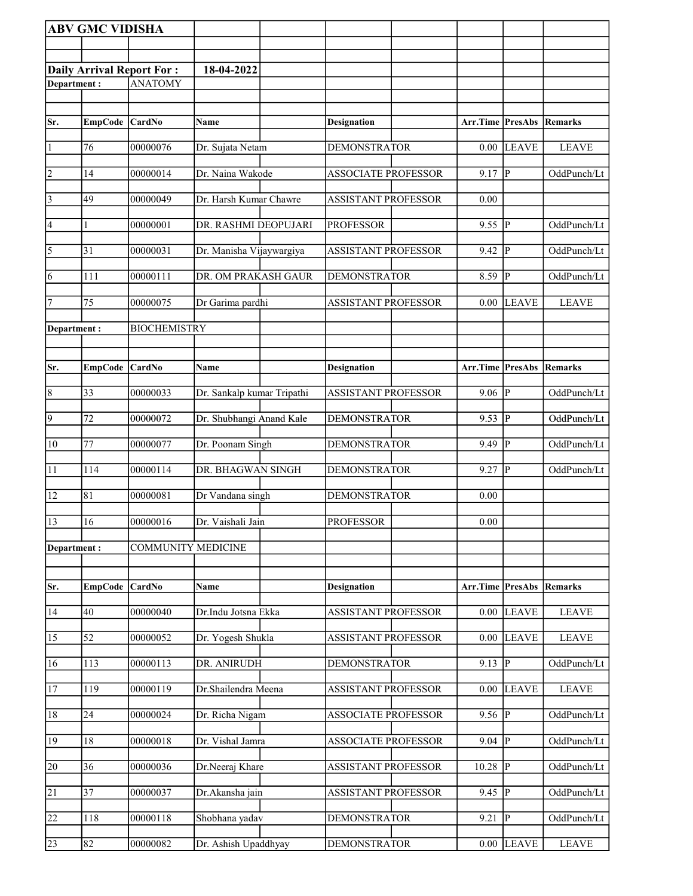|                 | <b>ABV GMC VIDISHA</b> |                                  |                            |                            |                          |                         |              |
|-----------------|------------------------|----------------------------------|----------------------------|----------------------------|--------------------------|-------------------------|--------------|
|                 |                        |                                  |                            |                            |                          |                         |              |
|                 |                        | <b>Daily Arrival Report For:</b> | 18-04-2022                 |                            |                          |                         |              |
| Department:     |                        | <b>ANATOMY</b>                   |                            |                            |                          |                         |              |
|                 |                        |                                  |                            |                            |                          |                         |              |
| Sr.             | <b>EmpCode</b>         | $\overline{\text{CardNo}}$       | Name                       | <b>Designation</b>         | Arr.Time PresAbs Remarks |                         |              |
|                 |                        |                                  |                            |                            |                          |                         |              |
| $\vert$ 1       | 76                     | 00000076                         | Dr. Sujata Netam           | <b>DEMONSTRATOR</b>        | 0.00                     | LEAVE                   | <b>LEAVE</b> |
| $\overline{2}$  | 14                     | 00000014                         | Dr. Naina Wakode           | <b>ASSOCIATE PROFESSOR</b> | 9.17                     | P                       | OddPunch/Lt  |
| $\sqrt{3}$      | 49                     | 00000049                         | Dr. Harsh Kumar Chawre     | <b>ASSISTANT PROFESSOR</b> | 0.00                     |                         |              |
| 4               | 1                      | 00000001                         | DR. RASHMI DEOPUJARI       | <b>PROFESSOR</b>           | 9.55                     | $\overline{\mathbf{P}}$ | OddPunch/Lt  |
| 5               | $\overline{31}$        | 00000031                         | Dr. Manisha Vijaywargiya   | <b>ASSISTANT PROFESSOR</b> | 9.42                     | $\mathbf{P}$            | OddPunch/Lt  |
| 6               | 111                    | 00000111                         | DR. OM PRAKASH GAUR        | <b>DEMONSTRATOR</b>        | 8.59                     | lР                      | OddPunch/Lt  |
| 7               | 75                     | 00000075                         | Dr Garima pardhi           | <b>ASSISTANT PROFESSOR</b> | 0.00                     | <b>LEAVE</b>            | <b>LEAVE</b> |
| Department:     |                        | <b>BIOCHEMISTRY</b>              |                            |                            |                          |                         |              |
|                 |                        |                                  |                            |                            |                          |                         |              |
| Sr.             | <b>EmpCode</b>         | <b>CardNo</b>                    | Name                       | <b>Designation</b>         | Arr.Time PresAbs         |                         | Remarks      |
| $\vert 8$       | 33                     | 00000033                         | Dr. Sankalp kumar Tripathi | <b>ASSISTANT PROFESSOR</b> | 9.06                     | $\overline{\mathbb{P}}$ | OddPunch/Lt  |
| $\overline{9}$  | 72                     | 00000072                         | Dr. Shubhangi Anand Kale   | <b>DEMONSTRATOR</b>        | 9.53                     | P                       | OddPunch/Lt  |
| $\overline{10}$ | 77                     | 00000077                         | Dr. Poonam Singh           | <b>DEMONSTRATOR</b>        | 9.49                     | ∣P                      | OddPunch/Lt  |
| 11              | 114                    | 00000114                         | DR. BHAGWAN SINGH          | <b>DEMONSTRATOR</b>        | 9.27                     | $\overline{P}$          | OddPunch/Lt  |
| 12              | 81                     | 00000081                         | Dr Vandana singh           | <b>DEMONSTRATOR</b>        | 0.00                     |                         |              |
| 13              | 16                     | 00000016                         | Dr. Vaishali Jain          | <b>PROFESSOR</b>           | 0.00                     |                         |              |
| Department:     |                        | <b>COMMUNITY MEDICINE</b>        |                            |                            |                          |                         |              |
|                 |                        |                                  |                            |                            |                          |                         |              |
| Sr.             | <b>EmpCode</b>         | CardNo                           | Name                       | <b>Designation</b>         | Arr.Time PresAbs Remarks |                         |              |
| 14              | 40                     | 00000040                         | Dr.Indu Jotsna Ekka        | <b>ASSISTANT PROFESSOR</b> | 0.00                     | <b>LEAVE</b>            | <b>LEAVE</b> |
| $\overline{15}$ | 52                     | 00000052                         | Dr. Yogesh Shukla          | <b>ASSISTANT PROFESSOR</b> | $0.00\,$                 | <b>LEAVE</b>            | <b>LEAVE</b> |
| 16              | 113                    | 00000113                         | DR. ANIRUDH                | <b>DEMONSTRATOR</b>        | 9.13                     | $\overline{P}$          | OddPunch/Lt  |
| 17              | 119                    | 00000119                         | Dr.Shailendra Meena        | <b>ASSISTANT PROFESSOR</b> | 0.00                     | <b>LEAVE</b>            | <b>LEAVE</b> |
| 18              | 24                     | 00000024                         | Dr. Richa Nigam            | <b>ASSOCIATE PROFESSOR</b> | 9.56                     | P                       | OddPunch/Lt  |
| 19              | $18\,$                 | 00000018                         | Dr. Vishal Jamra           | <b>ASSOCIATE PROFESSOR</b> | 9.04                     | ∣P                      | OddPunch/Lt  |
| $\overline{20}$ | $\overline{36}$        | 00000036                         | Dr.Neeraj Khare            | <b>ASSISTANT PROFESSOR</b> | 10.28                    | $\overline{\mathbb{P}}$ | OddPunch/Lt  |
| 21              | 37                     | 00000037                         | Dr.Akansha jain            | <b>ASSISTANT PROFESSOR</b> | 9.45                     | lР                      | OddPunch/Lt  |
| $\overline{22}$ | 118                    | 00000118                         | Shobhana yadav             | <b>DEMONSTRATOR</b>        | 9.21                     | lР                      | OddPunch/Lt  |
| 23              | 82                     | 00000082                         | Dr. Ashish Upaddhyay       | <b>DEMONSTRATOR</b>        |                          | $0.00$ LEAVE            | <b>LEAVE</b> |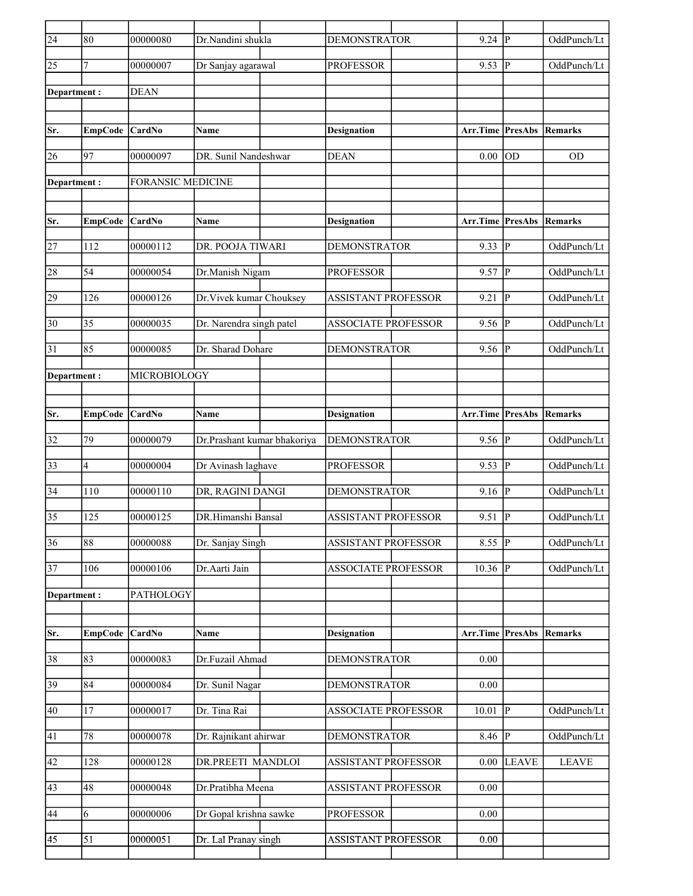| $\overline{24}$ | 80             | 00000080                 | Dr.Nandini shukla           | <b>DEMONSTRATOR</b>        | $9.24$ P         |                        | OddPunch/Lt    |
|-----------------|----------------|--------------------------|-----------------------------|----------------------------|------------------|------------------------|----------------|
| 25              | 7              | 00000007                 | Dr Sanjay agarawal          | <b>PROFESSOR</b>           | 9.53             | P                      | OddPunch/Lt    |
| Department:     |                | <b>DEAN</b>              |                             |                            |                  |                        |                |
|                 |                |                          |                             |                            |                  |                        |                |
| Sr.             | <b>EmpCode</b> | CardNo                   | Name                        | <b>Designation</b>         | Arr.Time PresAbs |                        | Remarks        |
| 26              | 97             | 00000097                 | DR. Sunil Nandeshwar        | <b>DEAN</b>                | 0.00             | OD                     | <b>OD</b>      |
| Department :    |                | <b>FORANSIC MEDICINE</b> |                             |                            |                  |                        |                |
|                 |                |                          |                             |                            |                  |                        |                |
| Sr.             | EmpCode CardNo |                          | <b>Name</b>                 | <b>Designation</b>         | Arr.Time PresAbs |                        | Remarks        |
| 27              | 112            | 00000112                 | DR. POOJA TIWARI            | <b>DEMONSTRATOR</b>        | 9.33             | p                      | OddPunch/Lt    |
| 28              | 54             | 00000054                 | Dr.Manish Nigam             | <b>PROFESSOR</b>           | 9.57             | $\overline{P}$         | OddPunch/Lt    |
| 29              | 126            | 00000126                 | Dr.Vivek kumar Chouksey     | <b>ASSISTANT PROFESSOR</b> | 9.21             | $\overline{P}$         | OddPunch/Lt    |
| 30              | 35             | 00000035                 | Dr. Narendra singh patel    | <b>ASSOCIATE PROFESSOR</b> | 9.56             | ΙP                     | OddPunch/Lt    |
| 31              | 85             | 00000085                 | Dr. Sharad Dohare           | <b>DEMONSTRATOR</b>        | 9.56             | lР                     | OddPunch/Lt    |
| Department:     |                | MICROBIOLOGY             |                             |                            |                  |                        |                |
|                 |                |                          |                             |                            |                  |                        |                |
| Sr.             | EmpCode CardNo |                          | <b>Name</b>                 | <b>Designation</b>         | Arr.Time         | <b>PresAbs Remarks</b> |                |
| 32              | 79             | 00000079                 | Dr.Prashant kumar bhakoriya | <b>DEMONSTRATOR</b>        | 9.56             | lР                     | OddPunch/Lt    |
| 33              | 4              | 00000004                 | Dr Avinash laghave          | <b>PROFESSOR</b>           | 9.53             | $\mathbf P$            | OddPunch/Lt    |
| 34              | 110            | 00000110                 | DR, RAGINI DANGI            | <b>DEMONSTRATOR</b>        | 9.16             | $\mathbf P$            | OddPunch/Lt    |
| 35              | 125            | 00000125                 | DR.Himanshi Bansal          | <b>ASSISTANT PROFESSOR</b> | 9.51             | P                      | OddPunch/Lt    |
| $\overline{36}$ | 88             | 00000088                 | Dr. Sanjay Singh            | <b>ASSISTANT PROFESSOR</b> | 8.55             | $\overline{P}$         | OddPunch/Lt    |
| $\overline{37}$ | 106            | 00000106                 | Dr.Aarti Jain               | <b>ASSOCIATE PROFESSOR</b> | 10.36            | P                      | OddPunch/Lt    |
| Department:     |                | PATHOLOGY                |                             |                            |                  |                        |                |
|                 |                |                          |                             |                            |                  |                        |                |
| Sr.             | <b>EmpCode</b> | CardNo                   | Name                        | <b>Designation</b>         | Arr.Time         | PresAbs                | <b>Remarks</b> |
| 38              | 83             | 00000083                 | Dr.Fuzail Ahmad             | <b>DEMONSTRATOR</b>        | 0.00             |                        |                |
| 39              | 84             | 00000084                 | Dr. Sunil Nagar             | <b>DEMONSTRATOR</b>        | 0.00             |                        |                |
| 40              | 17             | 00000017                 | Dr. Tina Rai                | <b>ASSOCIATE PROFESSOR</b> | 10.01            | P                      | OddPunch/Lt    |
| 41              | 78             | 00000078                 | Dr. Rajnikant ahirwar       | <b>DEMONSTRATOR</b>        | 8.46 $ P $       |                        | OddPunch/Lt    |
| 42              | 128            | 00000128                 | DR.PREETI MANDLOI           | <b>ASSISTANT PROFESSOR</b> | 0.00             | <b>LEAVE</b>           | <b>LEAVE</b>   |
| 43              | 48             | 00000048                 | Dr.Pratibha Meena           | <b>ASSISTANT PROFESSOR</b> | $0.00\,$         |                        |                |
| 44              | 6              | 00000006                 | Dr Gopal krishna sawke      | <b>PROFESSOR</b>           | $0.00\,$         |                        |                |
| 45              | 51             | 00000051                 | Dr. Lal Pranay singh        | <b>ASSISTANT PROFESSOR</b> | 0.00             |                        |                |
|                 |                |                          |                             |                            |                  |                        |                |